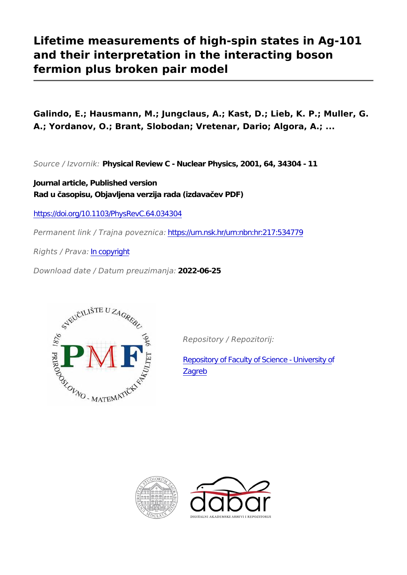# **Lifetime measurements of high-spin states in Ag-101 and their interpretation in the interacting boson fermion plus broken pair model**

**Galindo, E.; Hausmann, M.; Jungclaus, A.; Kast, D.; Lieb, K. P.; Muller, G. A.; Yordanov, O.; Brant, Slobodan; Vretenar, Dario; Algora, A.; ...**

*Source / Izvornik:* **Physical Review C - Nuclear Physics, 2001, 64, 34304 - 11**

**Journal article, Published version Rad u časopisu, Objavljena verzija rada (izdavačev PDF)**

<https://doi.org/10.1103/PhysRevC.64.034304>

*Permanent link / Trajna poveznica:* <https://urn.nsk.hr/urn:nbn:hr:217:534779>

*Rights / Prava:* [In copyright](http://rightsstatements.org/vocab/InC/1.0/)

*Download date / Datum preuzimanja:* **2022-06-25**



*Repository / Repozitorij:*

[Repository of Faculty of Science - University of](https://repozitorij.pmf.unizg.hr) [Zagreb](https://repozitorij.pmf.unizg.hr)



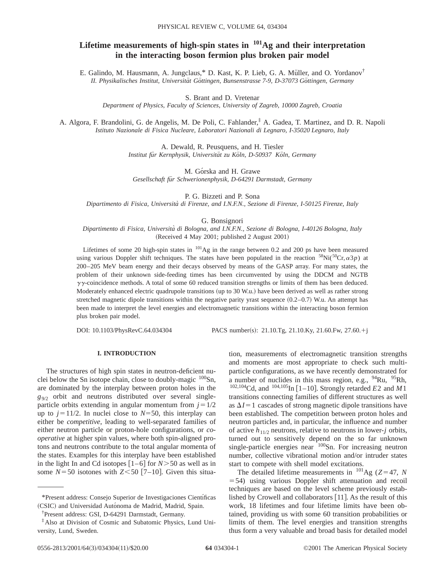## **Lifetime measurements of high-spin states in 101Ag and their interpretation in the interacting boson fermion plus broken pair model**

E. Galindo, M. Hausmann, A. Jungclaus,\* D. Kast, K. P. Lieb, G. A. Müller, and O. Yordanov<sup>†</sup> II. Physikalisches Institut, Universität Göttingen, Bunsenstrasse 7-9, D-37073 Göttingen, Germany

S. Brant and D. Vretenar

*Department of Physics, Faculty of Sciences, University of Zagreb, 10000 Zagreb, Croatia*

A. Algora, F. Brandolini, G. de Angelis, M. De Poli, C. Fahlander,‡ A. Gadea, T. Martinez, and D. R. Napoli *Istituto Nazionale di Fisica Nucleare, Laboratori Nazionali di Legnaro, I-35020 Legnaro, Italy*

> A. Dewald, R. Peusquens, and H. Tiesler *Institut fu¨r Kernphysik, Universita¨t zu Ko¨ln, D-50937 Ko¨ln, Germany*

M. Górska and H. Grawe *Gesellschaft fu¨r Schwerionenphysik, D-64291 Darmstadt, Germany*

P. G. Bizzeti and P. Sona

*Dipartimento di Fisica, Universita` di Firenze, and I.N.F.N., Sezione di Firenze, I-50125 Firenze, Italy*

G. Bonsignori

*Dipartimento di Fisica, Universita` di Bologna, and I.N.F.N., Sezione di Bologna, I-40126 Bologna, Italy*  $(Received 4 May 2001; published 2 August 2001)$ 

Lifetimes of some 20 high-spin states in  $^{101}$ Ag in the range between 0.2 and 200 ps have been measured using various Doppler shift techniques. The states have been populated in the reaction  ${}^{58}Ni({}^{50}Cr,\alpha3p)$  at 200–205 MeV beam energy and their decays observed by means of the GASP array. For many states, the problem of their unknown side-feeding times has been circumvented by using the DDCM and NGTB  $\gamma\gamma$ -coincidence methods. A total of some 60 reduced transition strengths or limits of them has been deduced. Moderately enhanced electric quadrupole transitions (up to 30 W.u.) have been derived as well as rather strong stretched magnetic dipole transitions within the negative parity yrast sequence  $(0.2-0.7)$  W.u. An attempt has been made to interpret the level energies and electromagnetic transitions within the interacting boson fermion plus broken pair model.

DOI: 10.1103/PhysRevC.64.034304 PACS number(s): 21.10.Tg, 21.10.Ky, 21.60.Fw, 27.60.+j

## **I. INTRODUCTION**

The structures of high spin states in neutron-deficient nuclei below the Sn isotope chain, close to doubly-magic  $100$ Sn, are dominated by the interplay between proton holes in the *g*9/2 orbit and neutrons distributed over several singleparticle orbits extending in angular momentum from  $j=1/2$ up to  $j=11/2$ . In nuclei close to  $N=50$ , this interplay can either be *competitive*, leading to well-separated families of either neutron particle or proton-hole configurations, or *cooperative* at higher spin values, where both spin-aligned protons and neutrons contribute to the total angular momenta of the states. Examples for this interplay have been established in the light In and Cd isotopes  $\lceil 1-6 \rceil$  for *N*>50 as well as in some  $N = 50$  isotones with  $Z \le 50$  [7–10]. Given this situation, measurements of electromagnetic transition strengths and moments are most appropriate to check such multiparticle configurations, as we have recently demonstrated for a number of nuclides in this mass region, e.g.,  $94Ru$ ,  $95Rh$ ,  $102,104$ Cd, and  $104,105$ In [1–10]. Strongly retarded *E*2 and *M*1 transitions connecting families of different structures as well as  $\Delta I = 1$  cascades of strong magnetic dipole transitions have been established. The competition between proton holes and neutron particles and, in particular, the influence and number of active  $h_{11/2}$  neutrons, relative to neutrons in lower-*j* orbits, turned out to sensitively depend on the so far unknown single-particle energies near <sup>100</sup>Sn. For increasing neutron number, collective vibrational motion and/or intruder states start to compete with shell model excitations.

The detailed lifetime measurements in  $^{101}$ Ag (*Z*=47, *N*  $=$  54) using various Doppler shift attenuation and recoil techniques are based on the level scheme previously established by Crowell and collaborators  $[11]$ . As the result of this work, 18 lifetimes and four lifetime limits have been obtained, providing us with some 60 transition probabilities or limits of them. The level energies and transition strengths thus form a very valuable and broad basis for detailed model

<sup>\*</sup>Present address: Consejo Superior de Investigaciones Cientı´ficas (CSIC) and Universidad Autónoma de Madrid, Madrid, Spain.

<sup>†</sup> Present address: GSI, D-64291 Darmstadt, Germany.

<sup>‡</sup>Also at Division of Cosmic and Subatomic Physics, Lund University, Lund, Sweden.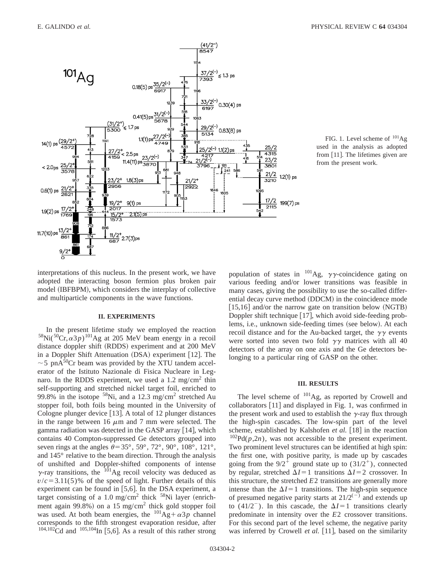

FIG. 1. Level scheme of  $^{101}$ Ag used in the analysis as adopted from  $[11]$ . The lifetimes given are from the present work.

interpretations of this nucleus. In the present work, we have adopted the interacting boson fermion plus broken pair model (IBFBPM), which considers the interplay of collective and multiparticle components in the wave functions.

## **II. EXPERIMENTS**

In the present lifetime study we employed the reaction  $58$ Ni( $50$ Cr, $\alpha3p$ )<sup>101</sup>Ag at 205 MeV beam energy in a recoil distance doppler shift (RDDS) experiment and at 200 MeV in a Doppler Shift Attenuation  $(DSA)$  experiment [12]. The  $\sim$  5 pnA<sup>50</sup>Cr beam was provided by the XTU tandem accelerator of the Istituto Nazionale di Fisica Nucleare in Legnaro. In the RDDS experiment, we used a 1.2 mg/cm<sup>2</sup> thin self-supporting and stretched nickel target foil, enriched to 99.8% in the isotope  $58$ Ni, and a 12.3 mg/cm<sup>2</sup> stretched Au stopper foil, both foils being mounted in the University of Cologne plunger device  $\vert$  13. A total of 12 plunger distances in the range between 16  $\mu$ m and 7 mm were selected. The gamma radiation was detected in the GASP array  $[14]$ , which contains 40 Compton-suppressed Ge detectors grouped into seven rings at the angles  $\theta$ =35°, 59°, 72°, 90°, 108°, 121°, and 145° relative to the beam direction. Through the analysis of unshifted and Doppler-shifted components of intense  $\gamma$ -ray transitions, the  $^{101}$ Ag recoil velocity was deduced as  $v/c = 3.11(5)$ % of the speed of light. Further details of this experiment can be found in  $[5,6]$ . In the DSA experiment, a target consisting of a 1.0 mg/cm<sup>2</sup> thick  $58$ Ni layer (enrichment again 99.8%) on a 15 mg/cm<sup>2</sup> thick gold stopper foil was used. At both beam energies, the  $^{101}$ Ag+ $\alpha$ 3*p* channel corresponds to the fifth strongest evaporation residue, after  $104,102$ Cd and  $105,104$ In [5,6]. As a result of this rather strong population of states in  $^{101}$ Ag,  $\gamma\gamma$ -coincidence gating on various feeding and/or lower transitions was feasible in many cases, giving the possibility to use the so-called differential decay curve method (DDCM) in the coincidence mode  $[15,16]$  and/or the narrow gate on transition below (NGTB) Doppler shift technique  $[17]$ , which avoid side-feeding problems, i.e., unknown side-feeding times (see below). At each recoil distance and for the Au-backed target, the  $\gamma\gamma$  events were sorted into seven two fold  $\gamma\gamma$  matrices with all 40 detectors of the array on one axis and the Ge detectors belonging to a particular ring of GASP on the other.

## **III. RESULTS**

The level scheme of  $^{101}$ Ag, as reported by Crowell and collaborators  $[11]$  and displayed in Fig. 1, was confirmed in the present work and used to establish the  $\gamma$ -ray flux through the high-spin cascades. The low-spin part of the level scheme, established by Kalshofen et al. [18] in the reaction  $^{102}Pd(p,2n)$ , was not accessible to the present experiment. Two prominent level structures can be identified at high spin: the first one, with positive parity, is made up by cascades going from the  $9/2^+$  ground state up to  $(31/2^+)$ , connected by regular, stretched  $\Delta I=1$  transitions  $\Delta I=2$  crossover. In this structure, the stretched *E*2 transitions are generally more intense than the  $\Delta I=1$  transitions. The high-spin sequence of presumed negative parity starts at  $21/2^{(-)}$  and extends up to (41/2<sup>-</sup>). In this cascade, the  $\Delta I=1$  transitions clearly predominate in intensity over the *E*2 crossover transitions. For this second part of the level scheme, the negative parity was inferred by Crowell *et al.* [11], based on the similarity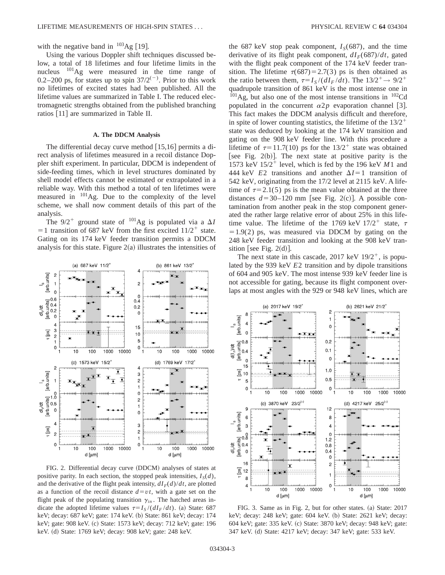## with the negative band in  $^{103}$ Ag [19].

Using the various Doppler shift techniques discussed below, a total of 18 lifetimes and four lifetime limits in the nucleus 101Ag were measured in the time range of 0.2–200 ps, for states up to spin  $37/2^{(-)}$ . Prior to this work no lifetimes of excited states had been published. All the lifetime values are summarized in Table I. The reduced electromagnetic strengths obtained from the published branching ratios [11] are summarized in Table II.

## **A. The DDCM Analysis**

The differential decay curve method  $[15,16]$  permits a direct analysis of lifetimes measured in a recoil distance Doppler shift experiment. In particular, DDCM is independent of side-feeding times, which in level structures dominated by shell model effects cannot be estimated or extrapolated in a reliable way. With this method a total of ten lifetimes were measured in  $^{101}$ Ag. Due to the complexity of the level scheme, we shall now comment details of this part of the analysis.

The  $9/2^+$  ground state of <sup>101</sup>Ag is populated via a  $\Delta I$  $=$  1 transition of 687 keV from the first excited  $11/2$ <sup>+</sup> state. Gating on its 174 keV feeder transition permits a DDCM analysis for this state. Figure  $2(a)$  illustrates the intensities of



FIG. 2. Differential decay curve (DDCM) analyses of states at positive parity. In each section, the stopped peak intensities,  $I_S(d)$ , and the derivative of the flight peak intensity,  $dI_F(d)/dt$ , are plotted as a function of the recoil distance  $d = vt$ , with a gate set on the flight peak of the populating transition  $\gamma$ <sub>in</sub>. The hatched areas indicate the adopted lifetime values  $\tau = I_s/(dI_F/dt)$ . (a) State: 687 keV; decay: 687 keV; gate: 174 keV. (b) State: 861 keV; decay: 174 keV; gate: 908 keV. (c) State: 1573 keV; decay: 712 keV; gate: 196 keV. (d) State: 1769 keV; decay: 908 keV; gate: 248 keV.

the 687 keV stop peak component,  $I<sub>S</sub>(687)$ , and the time derivative of its flight peak component,  $dI<sub>F</sub>(687)/dt$ , gated with the flight peak component of the 174 keV feeder transition. The lifetime  $\tau(687) = 2.7(3)$  ps is then obtained as the ratio between them,  $\tau = I_S/(dI_F/dt)$ . The  $13/2^+ \rightarrow 9/2^+$ quadrupole transition of 861 keV is the most intense one in  $^{101}$ Ag, but also one of the most intense transitions in  $^{102}$ Cd populated in the concurrent  $\alpha 2p$  evaporation channel [3]. This fact makes the DDCM analysis difficult and therefore, in spite of lower counting statistics, the lifetime of the  $13/2^+$ state was deduced by looking at the 174 keV transition and gating on the 908 keV feeder line. With this procedure a lifetime of  $\tau=11.7(10)$  ps for the  $13/2^+$  state was obtained [see Fig. 2(b)]. The next state at positive parity is the 1573 keV  $15/2^+$  level, which is fed by the 196 keV  $M1$  and 444 keV  $E2$  transitions and another  $\Delta I = 1$  transition of 542 keV, originating from the 17/2 level at 2115 keV. A lifetime of  $\tau=2.1(5)$  ps is the mean value obtained at the three distances  $d=30-120$  mm [see Fig. 2(c)]. A possible contamination from another peak in the stop component generated the rather large relative error of about 25% in this lifetime value. The lifetime of the 1769 keV  $17/2^+$  state,  $\tau$  $=1.9(2)$  ps, was measured via DDCM by gating on the 248 keV feeder transition and looking at the 908 keV transition [see Fig.  $2(d)$ ].

The next state in this cascade,  $2017 \text{ keV } 19/2^+$ , is populated by the 939 keV *E*2 transition and by dipole transitions of 604 and 905 keV. The most intense 939 keV feeder line is not accessible for gating, because its flight component overlaps at most angles with the 929 or 948 keV lines, which are



FIG. 3. Same as in Fig. 2, but for other states. (a) State: 2017 keV; decay: 248 keV; gate: 604 keV. (b) State: 2621 keV; decay: 604 keV; gate: 335 keV. (c) State: 3870 keV; decay: 948 keV; gate: 347 keV. (d) State: 4217 keV; decay: 347 keV; gate: 533 keV.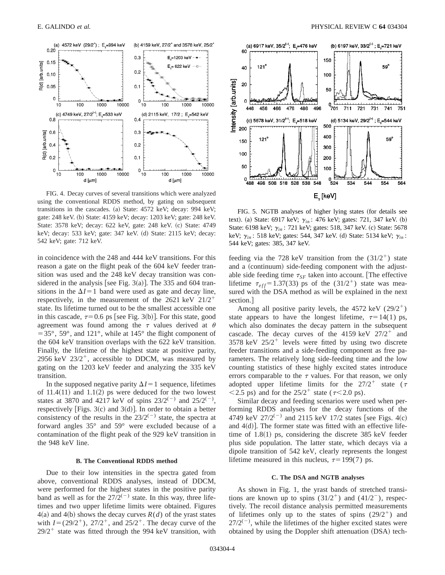

FIG. 4. Decay curves of several transitions which were analyzed using the conventional RDDS method, by gating on subsequent transitions in the cascades. (a) State:  $4572$  keV; decay:  $994$  keV; gate: 248 keV. (b) State: 4159 keV; decay: 1203 keV; gate: 248 keV. State: 3578 keV; decay: 622 keV, gate: 248 keV. (c) State: 4749 keV; decay: 533 keV; gate: 347 keV. (d) State: 2115 keV; decay: 542 keV; gate: 712 keV.

in coincidence with the 248 and 444 keV transitions. For this reason a gate on the flight peak of the 604 keV feeder transition was used and the 248 keV decay transition was considered in the analysis [see Fig. 3(a)]. The 335 and 604 transitions in the  $\Delta I=1$  band were used as gate and decay line, respectively, in the measurement of the 2621 keV  $21/2^+$ state. Its lifetime turned out to be the smallest accessible one in this cascade,  $\tau=0.6$  ps [see Fig. 3(b)]. For this state, good agreement was found among the  $\tau$  values derived at  $\theta$  $=$  35 $^{\circ}$ , 59 $^{\circ}$ , and 121 $^{\circ}$ , while at 145 $^{\circ}$  the flight component of the 604 keV transition overlaps with the 622 keV transition. Finally, the lifetime of the highest state at positive parity, 2956 keV  $23/2^+$ , accessible to DDCM, was measured by gating on the 1203 keV feeder and analyzing the 335 keV transition.

In the supposed negative parity  $\Delta I = 1$  sequence, lifetimes of  $11.4(11)$  and  $1.1(2)$  ps were deduced for the two lowest states at 3870 and 4217 keV of spins  $23/2^{(-)}$  and  $25/2^{(-)}$ , respectively [Figs.  $3(c)$  and  $3(d)$ ]. In order to obtain a better consistency of the results in the  $23/2^{(-)}$  state, the spectra at forward angles 35° and 59° were excluded because of a contamination of the flight peak of the 929 keV transition in the 948 keV line.

#### **B. The Conventional RDDS method**

Due to their low intensities in the spectra gated from above, conventional RDDS analyses, instead of DDCM, were performed for the highest states in the positive parity band as well as for the  $27/2^{(-)}$  state. In this way, three lifetimes and two upper lifetime limits were obtained. Figures  $4(a)$  and  $4(b)$  shows the decay curves  $R(d)$  of the yrast states with  $I=(29/2^+), 27/2^+,$  and  $25/2^+$ . The decay curve of the  $29/2$ <sup>+</sup> state was fitted through the 994 keV transition, with



FIG. 5. NGTB analyses of higher lying states (for details see text). (a) State: 6917 keV;  $\gamma_{in}$ : 476 keV; gates: 721, 347 keV. (b) State: 6198 keV; γ<sub>in</sub>: 721 keV; gates: 518, 347 keV. (c) State: 5678 keV; γ<sub>*in*</sub>: 518 keV; gates: 544, 347 keV. (d) State: 5134 keV; γ<sub>*in*</sub>: 544 keV; gates: 385, 347 keV.

feeding via the 728 keV transition from the  $(31/2^+)$  state and a (continuum) side-feeding component with the adjustable side feeding time  $\tau_{SF}$  taken into account. [The effective lifetime  $\tau_{eff}$ =1.37(33) ps of the (31/2<sup>+</sup>) state was measured with the DSA method as will be explained in the next section.

Among all positive parity levels, the 4572 keV  $(29/2^+)$ state appears to have the longest lifetime,  $\tau=14(1)$  ps, which also dominates the decay pattern in the subsequent cascade. The decay curves of the 4159 keV  $27/2^+$  and 3578 keV  $25/2^+$  levels were fitted by using two discrete feeder transitions and a side-feeding component as free parameters. The relatively long side-feeding time and the low counting statistics of these highly excited states introduce errors comparable to the  $\tau$  values. For that reason, we only adopted upper lifetime limits for the  $27/2$ <sup>+</sup> state ( $\tau$  $\langle 2.5 \text{ ps} \rangle$  and for the  $25/2^+$  state ( $\tau \langle 2.0 \text{ ps} \rangle$ .

Similar decay and feeding scenarios were used when performing RDDS analyses for the decay functions of the 4749 keV  $27/2^{(-)}$  and 2115 keV 17/2 states [see Figs. 4(c) and  $4(d)$ ]. The former state was fitted with an effective lifetime of  $1.8(1)$  ps, considering the discrete 385 keV feeder plus side population. The latter state, which decays via a dipole transition of 542 keV, clearly represents the longest lifetime measured in this nucleus,  $\tau=199(7)$  ps.

#### **C. The DSA and NGTB analyses**

As shown in Fig. 1, the yrast bands of stretched transitions are known up to spins  $(31/2^+)$  and  $(41/2^-)$ , respectively. The recoil distance analysis permitted measurements of lifetimes only up to the states of spins  $(29/2^+)$  and  $27/2^{(-)}$ , while the lifetimes of the higher excited states were obtained by using the Doppler shift attenuation (DSA) tech-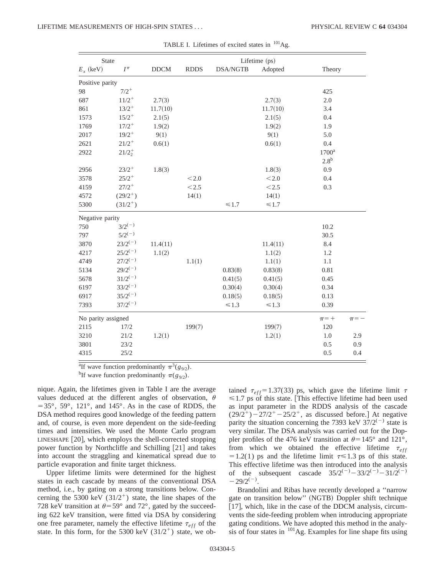| State              |              |             | Lifetime (ps) |                 |            |                  |           |  |  |
|--------------------|--------------|-------------|---------------|-----------------|------------|------------------|-----------|--|--|
| $E_x$ (keV)        | $I^{\pi}$    | <b>DDCM</b> | <b>RDDS</b>   | <b>DSA/NGTB</b> | Adopted    | Theory           |           |  |  |
| Positive parity    |              |             |               |                 |            |                  |           |  |  |
| 98                 | $7/2^+$      |             |               |                 |            | 425              |           |  |  |
| 687                | $11/2^+$     | 2.7(3)      |               |                 | 2.7(3)     | 2.0              |           |  |  |
| 861                | $13/2^+$     | 11.7(10)    |               |                 | 11.7(10)   | 3.4              |           |  |  |
| 1573               | $15/2^+$     | 2.1(5)      |               |                 | 2.1(5)     | 0.4              |           |  |  |
| 1769               | $17/2^+$     | 1.9(2)      |               |                 | 1.9(2)     | 1.9              |           |  |  |
| 2017               | $19/2^+$     | 9(1)        |               |                 | 9(1)       | 5.0              |           |  |  |
| 2621               | $21/2^+$     | 0.6(1)      |               |                 | 0.6(1)     | 0.4              |           |  |  |
| 2922               | $21/2^+_2$   |             |               |                 |            | $1700^a$         |           |  |  |
|                    |              |             |               |                 |            | 2.8 <sup>b</sup> |           |  |  |
| 2956               | $23/2^+$     | 1.8(3)      |               |                 | 1.8(3)     | 0.9              |           |  |  |
| 3578               | $25/2^+$     |             | < 2.0         |                 | $<\!2.0$   | 0.4              |           |  |  |
| 4159               | $27/2^+$     |             | < 2.5         |                 | < 2.5      | 0.3              |           |  |  |
| 4572               | $(29/2^+)$   |             | 14(1)         |                 | 14(1)      |                  |           |  |  |
| 5300               | $(31/2^+)$   |             |               | $\leq 1.7$      | $\leq 1.7$ |                  |           |  |  |
| Negative parity    |              |             |               |                 |            |                  |           |  |  |
| 750                | $3/2^{(-)}$  |             |               |                 |            | 10.2             |           |  |  |
| 797                | $5/2^{(-)}$  |             |               |                 |            | 30.5             |           |  |  |
| 3870               | $23/2^{(-)}$ | 11.4(11)    |               |                 | 11.4(11)   | 8.4              |           |  |  |
| 4217               | $25/2^{(-)}$ | 1.1(2)      |               |                 | 1.1(2)     | 1.2              |           |  |  |
| 4749               | $27/2^{(-)}$ |             | 1.1(1)        |                 | 1.1(1)     | 1.1              |           |  |  |
| 5134               | $29/2^{(-)}$ |             |               | 0.83(8)         | 0.83(8)    | 0.81             |           |  |  |
| 5678               | $31/2^{(-)}$ |             |               | 0.41(5)         | 0.41(5)    | 0.45             |           |  |  |
| 6197               | $33/2^{(-)}$ |             |               | 0.30(4)         | 0.30(4)    | 0.34             |           |  |  |
| 6917               | $35/2^{(-)}$ |             |               | 0.18(5)         | 0.18(5)    | 0.13             |           |  |  |
| 7393               | $37/2^{(-)}$ |             |               | $\leq 1.3$      | $\leq 1.3$ | 0.39             |           |  |  |
| No parity assigned |              |             |               |                 |            | $\pi$ = +        | $\pi$ = - |  |  |
| 2115               | 17/2         |             | 199(7)        |                 | 199(7)     | 120              |           |  |  |
| 3210               | 21/2         | 1.2(1)      |               |                 | 1.2(1)     | 1.0              | 2.9       |  |  |
| 3801               | 23/2         |             |               |                 |            | 0.5              | 0.9       |  |  |
| 4315               | 25/2         |             |               |                 |            | 0.5              | 0.4       |  |  |

| TABLE I. Lifetimes of excited states in <sup>101</sup> Ag. |  |  |  |
|------------------------------------------------------------|--|--|--|
|------------------------------------------------------------|--|--|--|

<sup>a</sup>If wave function predominantly  $\pi^3(g_{9/2})$ .

<sup>b</sup>If wave function predominantly  $\pi(g_{9/2})$ .

nique. Again, the lifetimes given in Table I are the average values deduced at the different angles of observation,  $\theta$  $=$  35 $^{\circ}$ , 59 $^{\circ}$ , 121 $^{\circ}$ , and 145 $^{\circ}$ . As in the case of RDDS, the DSA method requires good knowledge of the feeding pattern and, of course, is even more dependent on the side-feeding times and intensities. We used the Monte Carlo program  $LINESHAPE$   $[20]$ , which employs the shell-corrected stopping power function by Northcliffe and Schilling  $[21]$  and takes into account the straggling and kinematical spread due to particle evaporation and finite target thickness.

Upper lifetime limits were determined for the highest states in each cascade by means of the conventional DSA method, i.e., by gating on a strong transitions below. Concerning the 5300 keV  $(31/2^+)$  state, the line shapes of the 728 keV transition at  $\theta$ =59° and 72°, gated by the succeeding 622 keV transition, were fitted via DSA by considering one free parameter, namely the effective lifetime  $\tau_{eff}$  of the state. In this form, for the 5300 keV  $(31/2^+)$  state, we obtained  $\tau_{eff}$ =1.37(33) ps, which gave the lifetime limit  $\tau$  $\leq 1.7$  ps of this state. This effective lifetime had been used as input parameter in the RDDS analysis of the cascade  $(29/2^{+})$  – 27/2<sup>+</sup> – 25/2<sup>+</sup>, as discussed before.] At negative parity the situation concerning the 7393 keV  $37/2^{(-)}$  state is very similar. The DSA analysis was carried out for the Doppler profiles of the 476 keV transition at  $\theta$ =145° and 121°, from which we obtained the effective lifetime  $\tau_{eff}$  $=1.2(1)$  ps and the lifetime limit  $\tau \le 1.3$  ps of this state. This effective lifetime was then introduced into the analysis of the subsequent cascade  $35/2^{(-)} - 33/2^{(-)} - 31/2^{(-)}$  $-29/2^{(-)}$ .

Brandolini and Ribas have recently developed a ''narrow gate on transition below" (NGTB) Doppler shift technique [17], which, like in the case of the DDCM analysis, circumvents the side-feeding problem when introducing appropriate gating conditions. We have adopted this method in the analysis of four states in  $101$ Ag. Examples for line shape fits using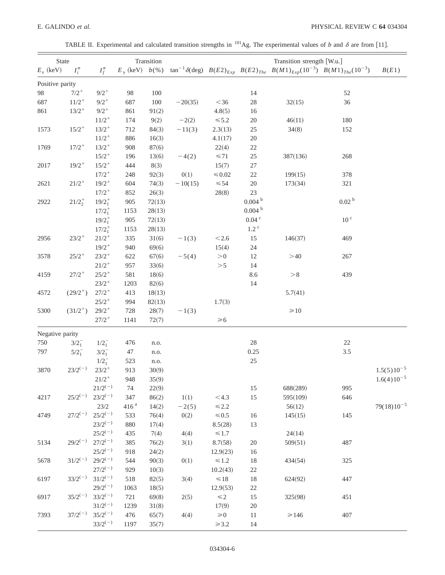TABLE II. Experimental and calculated transition strengths in <sup>101</sup>Ag. The experimental values of *b* and  $\delta$  are from [11].

| State           |                |              |                  | Transition |           | Transition strength [W.u.] |                    |                                                                                                                                    |                   |                 |
|-----------------|----------------|--------------|------------------|------------|-----------|----------------------------|--------------------|------------------------------------------------------------------------------------------------------------------------------------|-------------------|-----------------|
| $E_x$ (keV)     | $I_i^{\pi}$    | $I_f^{\pi}$  |                  |            |           |                            |                    | $E_{\gamma}$ (keV) $b$ (%) $\tan^{-1}\delta(\text{deg})$ $B(E2)_{Exp}$ $B(E2)_{The}$ $B(M1)_{Exp}(10^{-3})$ $B(M1)_{The}(10^{-3})$ |                   | B(E1)           |
| Positive parity |                |              |                  |            |           |                            |                    |                                                                                                                                    |                   |                 |
| 98              | $7/2^+$        | $9/2^+$      | 98               | 100        |           |                            | 14                 |                                                                                                                                    | 52                |                 |
| 687             | $11/2^+$       | $9/2^+$      | 687              | 100        | $-20(35)$ | $<$ 36 $\,$                | $28\,$             | 32(15)                                                                                                                             | 36                |                 |
| 861             | $13/2^+$       | $9/2^+$      | 861              | 91(2)      |           | 4.8(5)                     | 16                 |                                                                                                                                    |                   |                 |
|                 |                | $11/2^+$     | 174              | 9(2)       | $-2(2)$   | $\leq 5.2$                 | $20\,$             | 46(11)                                                                                                                             | 180               |                 |
| 1573            | $15/2^+$       | $13/2^+$     | 712              | 84(3)      | $-11(3)$  | 2.3(13)                    | $25\,$             | 34(8)                                                                                                                              | 152               |                 |
|                 |                | $11/2^+$     | 886              | 16(3)      |           | 4.1(17)                    | $20\,$             |                                                                                                                                    |                   |                 |
| 1769            | $17/2^+$       | $13/2^+$     | 908              | 87(6)      |           | 22(4)                      | $22\,$             |                                                                                                                                    |                   |                 |
|                 |                | $15/2^+$     | 196              | 13(6)      | $-4(2)$   | $\leq 71$                  | $25\,$             | 387(136)                                                                                                                           | 268               |                 |
| 2017            | $19/2^+$       | $15/2^+$     | 444              | 8(3)       |           | 15(7)                      | $27\,$             |                                                                                                                                    |                   |                 |
|                 |                | $17/2^+$     | 248              | 92(3)      | 0(1)      | ${\leq}0.02$               | $22\,$             | 199(15)                                                                                                                            | 378               |                 |
| 2621            | $21/2^+$       | $19/2^+$     | 604              | 74(3)      | $-10(15)$ | $\leq 54$                  | $20\,$             | 173(34)                                                                                                                            | 321               |                 |
|                 |                | $17/2^+$     | 852              | 26(3)      |           | 28(8)                      | 23                 |                                                                                                                                    |                   |                 |
| 2922            | $21/2^{+}_{2}$ | $19/2_1^+$   | 905              | 72(13)     |           |                            | 0.004 <sup>b</sup> |                                                                                                                                    | 0.02 <sup>b</sup> |                 |
|                 |                | $17/2_1^+$   | 1153             | 28(13)     |           |                            | 0.004 <sup>b</sup> |                                                                                                                                    |                   |                 |
|                 |                | $19/2_1^+$   | 905              | 72(13)     |           |                            | $0.04$ $^{\rm c}$  |                                                                                                                                    | 10 <sup>c</sup>   |                 |
|                 |                | $17/2_1^+$   | 1153             | 28(13)     |           |                            | $1.2$ $\degree$    |                                                                                                                                    |                   |                 |
| 2956            | $23/2^+$       | $21/2^+$     | 335              | 31(6)      | $-1(3)$   | $<2.6$                     | 15                 | 146(37)                                                                                                                            | 469               |                 |
|                 |                | $19/2^+$     | 940              | 69(6)      |           | 15(4)                      | $24\,$             |                                                                                                                                    |                   |                 |
| 3578            | $25/2^+$       | $23/2^+$     | 622              | 67(6)      | $-5(4)$   | > 0                        | $12\,$             | >40                                                                                                                                | 267               |                 |
|                 |                | $21/2^+$     | 957              | 33(6)      |           | >5                         | 14                 |                                                                                                                                    |                   |                 |
| 4159            | $27/2^+$       | $25/2^+$     | 581              | 18(6)      |           |                            | 8.6                | > 8                                                                                                                                | 439               |                 |
|                 |                | $23/2^+$     | 1203             | 82(6)      |           |                            | 14                 |                                                                                                                                    |                   |                 |
| 4572            | $(29/2^+)$     | $27/2^+$     | 413              | 18(13)     |           |                            |                    | 5.7(41)                                                                                                                            |                   |                 |
|                 |                | $25/2^+$     | 994              | 82(13)     |           | 1.7(3)                     |                    |                                                                                                                                    |                   |                 |
| 5300            | $(31/2^+)$     | $29/2^+$     | 728              | 28(7)      | $-1(3)$   |                            |                    | $\geq 10$                                                                                                                          |                   |                 |
|                 |                | $27/2^+$     | 1141             | 72(7)      |           | $\geq 6$                   |                    |                                                                                                                                    |                   |                 |
| Negative parity |                |              |                  |            |           |                            |                    |                                                                                                                                    |                   |                 |
| 750             | $3/2_1^-$      | $1/2_1^-$    | 476              | n.o.       |           |                            | $28\,$             |                                                                                                                                    | 22                |                 |
| 797             | $5/2^{-}_{1}$  | $3/2^-$      | 47               | n.o.       |           |                            | 0.25               |                                                                                                                                    | $3.5\,$           |                 |
|                 |                | $1/2_1^-$    | 523              | n.o.       |           |                            | $25\,$             |                                                                                                                                    |                   |                 |
| 3870            | $23/2^{(-)}$   | $23/2^+$     | 913              | 30(9)      |           |                            |                    |                                                                                                                                    |                   | $1.5(5)10^{-5}$ |
|                 |                | $21/2^+$     | 948              | 35(9)      |           |                            |                    |                                                                                                                                    |                   | $1.6(4)10^{-5}$ |
|                 |                | $21/2^{(-)}$ | 74               | 22(9)      |           |                            | 15                 | 688(289)                                                                                                                           | 995               |                 |
| 4217            | $25/2^{(-)}$   | $23/2^{(-)}$ | 347              | 86(2)      | 1(1)      | $<$ 4.3                    | 15                 | 595(109)                                                                                                                           | 646               |                 |
|                 |                | 23/2         | 416 <sup>a</sup> | 14(2)      | $-2(5)$   | $\leq 2.2$                 |                    | 56(12)                                                                                                                             |                   | $79(18)10^{-5}$ |
| 4749            | $27/2^{(-)}$   | $25/2^{(-)}$ | 533              | 76(4)      | 0(2)      | ${\leq}0.5$                | 16                 | 145(15)                                                                                                                            | 145               |                 |
|                 |                | $23/2^{(-)}$ | 880              | 17(4)      |           | 8.5(28)                    | 13                 |                                                                                                                                    |                   |                 |
|                 |                | $25/2^{(-)}$ | 435              | 7(4)       | 4(4)      | $\leq 1.7$                 |                    | 24(14)                                                                                                                             |                   |                 |
| 5134            | $29/2^{(-)}$   | $27/2^{(-)}$ | 385              | 76(2)      | 3(1)      | 8.7(58)                    | $20\,$             | 509(51)                                                                                                                            | 487               |                 |
|                 |                | $25/2^{(-)}$ | 918              | 24(2)      |           | 12.9(23)                   | 16                 |                                                                                                                                    |                   |                 |
| 5678            | $31/2^{(-)}$   | $29/2^{(-)}$ | 544              | 90(3)      | 0(1)      | $\leq 1.2$                 | $18\,$             | 434(54)                                                                                                                            | 325               |                 |
|                 |                | $27/2^{(-)}$ | 929              | 10(3)      |           | 10.2(43)                   | $22\,$             |                                                                                                                                    |                   |                 |
| 6197            | $33/2^{(-)}$   | $31/2^{(-)}$ | 518              | 82(5)      | 3(4)      | $\leq 18$                  | $18\,$             | 624(92)                                                                                                                            | 447               |                 |
|                 |                | $29/2^{(-)}$ | 1063             | 18(5)      |           | 12.9(53)                   | $22\,$             |                                                                                                                                    |                   |                 |
| 6917            | $35/2^{(-)}$   | $33/2^{(-)}$ | 721              | 69(8)      | 2(5)      | $\leq 2$                   | 15                 | 325(98)                                                                                                                            | 451               |                 |
|                 |                | $31/2^{(-)}$ | 1239             | 31(8)      |           | 17(9)                      | $20\,$             |                                                                                                                                    |                   |                 |
| 7393            | $37/2^{(-)}$   | $35/2^{(-)}$ | 476              | 65(7)      | 4(4)      | $\geq 0$                   | $11\,$             | $\geq 146$                                                                                                                         | 407               |                 |
|                 |                | $33/2^{(-)}$ | 1197             | 35(7)      |           | $\geq 3.2$                 | 14                 |                                                                                                                                    |                   |                 |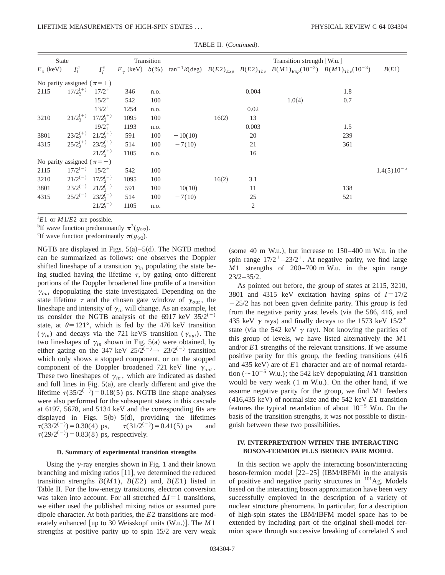| <b>State</b>                     |              | Transition                |      |      |           |       | Transition strength [W.u.] |                                                                                                                                       |     |                 |
|----------------------------------|--------------|---------------------------|------|------|-----------|-------|----------------------------|---------------------------------------------------------------------------------------------------------------------------------------|-----|-----------------|
| $E_x$ (keV)                      | $I_i^{\pi}$  | $I_f^{\pi}$               |      |      |           |       |                            | $E_{\gamma}$ (keV) $b(\%)$ tan <sup>-1</sup> $\delta$ (deg) $B(E2)_{Exp}$ $B(E2)_{The}$ $B(M1)_{Exp}(10^{-3})$ $B(M1)_{The}(10^{-3})$ |     | B(E1)           |
| No parity assigned $(\pi = +)$   |              |                           |      |      |           |       |                            |                                                                                                                                       |     |                 |
| 2115                             | $17/2^{(+)}$ | $17/2^+$                  | 346  | n.o. |           |       | 0.004                      |                                                                                                                                       | 1.8 |                 |
|                                  |              | $15/2^+$                  | 542  | 100  |           |       |                            | 1.0(4)                                                                                                                                | 0.7 |                 |
|                                  |              | $13/2^+$                  | 1254 | n.o. |           |       | 0.02                       |                                                                                                                                       |     |                 |
| 3210                             | $21/2^{(+)}$ | $17/2^{(+)}$              | 1095 | 100  |           | 16(2) | 13                         |                                                                                                                                       |     |                 |
|                                  |              | $19/2_1^+$                | 1193 | n.o. |           |       | 0.003                      |                                                                                                                                       | 1.5 |                 |
| 3801                             | $23/2^{(+)}$ | $21/2_3^{(+)}$            | 591  | 100  | $-10(10)$ |       | 20                         |                                                                                                                                       | 239 |                 |
| 4315                             |              | $25/2^{(+)}$ $23/2^{(+)}$ | 514  | 100  | $-7(10)$  |       | 21                         |                                                                                                                                       | 361 |                 |
|                                  |              | $21/2^{(+)}$              | 1105 | n.o. |           |       | 16                         |                                                                                                                                       |     |                 |
| No parity assigned ( $\pi = -$ ) |              |                           |      |      |           |       |                            |                                                                                                                                       |     |                 |
| 2115                             | $17/2^{(-)}$ | $15/2^+$                  | 542  | 100  |           |       |                            |                                                                                                                                       |     | $1.4(5)10^{-5}$ |
| 3210                             | $21/2^{(-)}$ | $17/2^{(-)}$              | 1095 | 100  |           | 16(2) | 3.1                        |                                                                                                                                       |     |                 |
| 3801                             |              | $23/2^{(-)}$ $21/2^{(-)}$ | 591  | 100  | $-10(10)$ |       | 11                         |                                                                                                                                       | 138 |                 |
| 4315                             | $25/2^{(-)}$ | $23/2^{(-)}$              | 514  | 100  | $-7(10)$  |       | 25                         |                                                                                                                                       | 521 |                 |
|                                  |              | $21/2^{(-)}$              | 1105 | n.o. |           |       | 2                          |                                                                                                                                       |     |                 |

TABLE II. (Continued).

 $^{\text{a}}E1$  or *M*1/*E*2 are possible.

<sup>b</sup>If wave function predominantly  $\pi^3(g_{9/2})$ .

<sup>c</sup>If wave function predominantly  $\pi(g_{9/2})$ .

NGTB are displayed in Figs.  $5(a) - 5(d)$ . The NGTB method can be summarized as follows: one observes the Doppler shifted lineshape of a transition  $\gamma_{in}$  populating the state being studied having the lifetime  $\tau$ , by gating onto different portions of the Doppler broadened line profile of a transition  $\gamma_{out}$  depopulating the state investigated. Depending on the state lifetime  $\tau$  and the chosen gate window of  $\gamma_{out}$ , the lineshape and intensity of  $\gamma$ <sub>in</sub> will change. As an example, let us consider the NGTB analysis of the 6917 keV  $35/2^{(-)}$ state, at  $\theta$ =121°, which is fed by the 476 keV transition  $(\gamma_{in})$  and decays via the 721 keVS transition ( $\gamma_{out}$ ). The two lineshapes of  $\gamma_{in}$  shown in Fig. 5(a) were obtained, by either gating on the 347 keV  $25/2^{(-)} \rightarrow 23/2^{(-)}$  transition which only shows a stopped component, or on the stopped component of the Doppler broadened 721 keV line  $\gamma_{out}$ . These two lineshapes of  $\gamma_{in}$ , which are indicated as dashed and full lines in Fig.  $5(a)$ , are clearly different and give the lifetime  $\tau(35/2^{(-)})=0.18(5)$  ps. NGTB line shape analyses were also performed for the subsequent states in this cascade at 6197, 5678, and 5134 keV and the corresponding fits are displayed in Figs.  $5(b) - 5(d)$ , providing the lifetimes  $\tau(33/2^{(-)}) = 0.30(4)$  ps,  $\tau(31/2^{(-)})$  $\tau(31/2^{(-)})=0.41(5)$  ps and  $\tau(29/2^{(-)}) = 0.83(8)$  ps, respectively.

#### **D. Summary of experimental transition strengths**

Using the  $\gamma$ -ray energies shown in Fig. 1 and their known branching and mixing ratios  $\vert$  11, we determined the reduced transition strengths  $B(M1)$ ,  $B(E2)$  and,  $B(E1)$  listed in Table II. For the low-energy transitions, electron conversion was taken into account. For all stretched  $\Delta I = 1$  transitions, we either used the published mixing ratios or assumed pure dipole character. At both parities, the *E*2 transitions are moderately enhanced [up to 30 Weisskopf units (W.u.)]. The *M*1 strengths at positive parity up to spin 15/2 are very weak (some 40 m W.u.), but increase to  $150-400$  m W.u. in the spin range  $17/2^{+}$  –23/2<sup>+</sup>. At negative parity, we find large *M*1 strengths of 200–700 m W.u. in the spin range 23/2–35/2.

As pointed out before, the group of states at 2115, 3210, 3801 and 4315 keV excitation having spins of  $I=17/2$  $-25/2$  has not been given definite parity. This group is fed from the negative parity yrast levels (via the 586, 416, and 435 keV  $\gamma$  rays) and finally decays to the 1573 keV 15/2<sup>+</sup> state (via the 542 keV  $\gamma$  ray). Not knowing the parities of this group of levels, we have listed alternatively the *M*1 and/or *E*1 strengths of the relevant transitions. If we assume positive parity for this group, the feeding transitions  $(416$ and 435 keV) are of *E*1 character and are of normal retardation ( $\sim$ 10<sup>-5</sup> W.u.); the 542 keV depopulating *M*1 transition would be very weak (1 m W.u.). On the other hand, if we assume negative parity for the group, we find *M*1 feeders (416,435 keV) of normal size and the 542 keV *E*1 transition features the typical retardation of about  $10^{-5}$  W.u. On the basis of the transition strengths, it was not possible to distinguish between these two possibilities.

## **IV. INTERPRETATION WITHIN THE INTERACTING BOSON-FERMION PLUS BROKEN PAIR MODEL**

In this section we apply the interacting boson/interacting boson-fermion model  $[22-25]$  (IBM/IBFM) in the analysis of positive and negative parity structures in  $^{101}$ Ag. Models based on the interacting boson approximation have been very successfully employed in the description of a variety of nuclear structure phenomena. In particular, for a description of high-spin states the IBM/IBFM model space has to be extended by including part of the original shell-model fermion space through successive breaking of correlated *S* and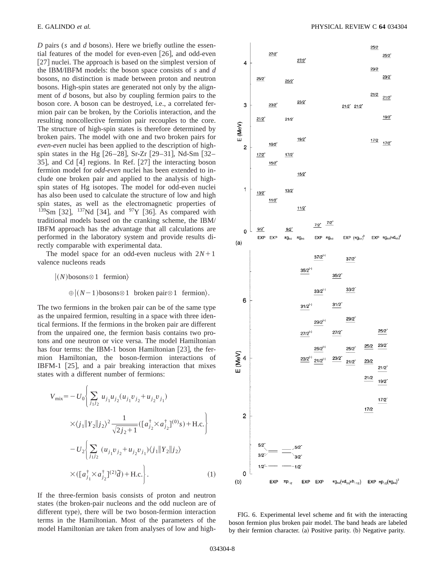*D* pairs (*s* and *d* bosons). Here we briefly outline the essential features of the model for even-even  $[26]$ , and odd-even [27] nuclei. The approach is based on the simplest version of the IBM/IBFM models: the boson space consists of *s* and *d* bosons, no distinction is made between proton and neutron bosons. High-spin states are generated not only by the alignment of *d* bosons, but also by coupling fermion pairs to the boson core. A boson can be destroyed, i.e., a correlated fermion pair can be broken, by the Coriolis interaction, and the resulting noncollective fermion pair recouples to the core. The structure of high-spin states is therefore determined by broken pairs. The model with one and two broken pairs for *even-even* nuclei has been applied to the description of highspin states in the Hg  $[26-28]$ , Sr-Zr  $[29-31]$ , Nd-Sm  $[32-$ 35, and Cd  $[4]$  regions. In Ref.  $[27]$  the interacting boson fermion model for *odd-even* nuclei has been extended to include one broken pair and applied to the analysis of highspin states of Hg isotopes. The model for odd-even nuclei has also been used to calculate the structure of low and high spin states, as well as the electromagnetic properties of  $139$ Sm [32],  $137$ Nd [34], and  $97$ Y [36]. As compared with traditional models based on the cranking scheme, the IBM/ IBFM approach has the advantage that all calculations are performed in the laboratory system and provide results directly comparable with experimental data.

The model space for an odd-even nucleus with  $2N+1$ valence nucleons reads

 $|(N)$ bosons<sup> $\otimes$  1 fermion $\rangle$ </sup>  $\bigoplus (N-1)$ bosons $\otimes 1$  broken pair $\otimes 1$  fermion).

The two fermions in the broken pair can be of the same type as the unpaired fermion, resulting in a space with three identical fermions. If the fermions in the broken pair are different from the unpaired one, the fermion basis contains two protons and one neutron or vice versa. The model Hamiltonian has four terms: the IBM-1 boson Hamiltonian  $[23]$ , the fermion Hamiltonian, the boson-fermion interactions of IBFM-1  $[25]$ , and a pair breaking interaction that mixes states with a different number of fermions:

$$
V_{\text{mix}} = -U_0 \Bigg\{ \sum_{j_1 j_2} u_{j_1} u_{j_2} (u_{j_1} v_{j_2} + u_{j_2} v_{j_1})
$$
  
 
$$
\times \langle j_1 || Y_2 || j_2 \rangle^2 \frac{1}{\sqrt{2j_2 + 1}} \left( [a_{j_2}^{\dagger} \times a_{j_2}^{\dagger}]^{(0)} s \right) + \text{H.c.} \Bigg\}
$$
  
- 
$$
U_2 \Bigg\{ \sum_{j_1 j_2} (u_{j_1} v_{j_2} + u_{j_2} v_{j_1}) \langle j_1 || Y_2 || j_2 \rangle
$$
  

$$
\times ([a_{j_1}^{\dagger} \times a_{j_2}^{\dagger}]^{(2)} \tilde{d}) + \text{H.c.} \Bigg\}.
$$
 (1)

If the three-fermion basis consists of proton and neutron states (the broken-pair nucleons and the odd nucleon are of different type), there will be two boson-fermion interaction terms in the Hamiltonian. Most of the parameters of the model Hamiltonian are taken from analyses of low and high-



FIG. 6. Experimental level scheme and fit with the interacting boson fermion plus broken pair model. The band heads are labeled by their fermion character. (a) Positive parity. (b) Negative parity.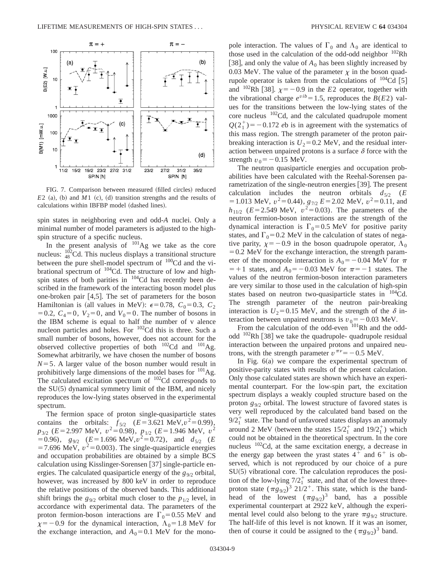

FIG. 7. Comparison between measured (filled circles) reduced  $E2$  (a), (b) and  $M1$  (c), (d) transition strengths and the results of calculations within IBFBP model (dashed lines).

spin states in neighboring even and odd-*A* nuclei. Only a minimal number of model parameters is adjusted to the highspin structure of a specific nucleus.

In the present analysis of  $101\text{Ag}$  we take as the core nucleus:  $\frac{102}{48}$ Cd. This nucleus displays a transitional structure between the pure shell-model spectrum of <sup>100</sup>Cd and the vibrational spectrum of <sup>104</sup>Cd. The structure of low and highspin states of both parities in <sup>104</sup>Cd has recently been described in the framework of the interacting boson model plus one-broken pair  $[4,5]$ . The set of parameters for the boson Hamiltonian is (all values in MeV):  $\epsilon$ =0.78,  $C_0$ =0.3,  $C_2$  $=0.2, C_4=0, V_2=0, \text{ and } V_0=0.$  The number of bosons in the IBM scheme is equal to half the number of v alence nucleon particles and holes. For 102Cd this is three. Such a small number of bosons, however, does not account for the observed collective properties of both  $^{102}$ Cd and  $^{101}$ Ag. Somewhat arbitrarily, we have chosen the number of bosons  $N=5$ . A larger value of the boson number would result in prohibitively large dimensions of the model bases for  $^{101}$ Ag. The calculated excitation spectrum of <sup>102</sup>Cd corresponds to the  $SU(5)$  dynamical symmetry limit of the IBM, and nicely reproduces the low-lying states observed in the experimental spectrum.

The fermion space of proton single-quasiparticle states contains the orbitals:  $f_{5/2}$   $(E=3.621 \text{ MeV}, v^2=0.99)$ ,  $p_{3/2}$  (*E*=2.997 MeV,  $v^2$ =0.98),  $p_{1/2}$  (*E*=1.946 MeV,  $v^2$  $(6.96)$ ,  $g_{9/2}$   $(E=1.696 \text{ MeV}, v^2=0.72)$ , and  $d_{5/2}$   $(E=1.696 \text{ MeV}, v^2=0.72)$  $=7.696$  MeV,  $v^2=0.003$ ). The single-quasiparticle energies and occupation probabilities are obtained by a simple BCS calculation using Kisslinger-Sorensen [37] single-particle energies. The calculated quasiparticle energy of the  $g_{9/2}$  orbital, however, was increased by 800 keV in order to reproduce the relative positions of the observed bands. This additional shift brings the  $g_{9/2}$  orbital much closer to the  $p_{1/2}$  level, in accordance with experimental data. The parameters of the proton fermion-boson interactions are  $\Gamma_0$  = 0.55 MeV and  $x=-0.9$  for the dynamical interaction,  $\Lambda_0=1.8$  MeV for the exchange interaction, and  $A_0=0.1$  MeV for the monopole interaction. The values of  $\Gamma_0$  and  $\Lambda_0$  are identical to those used in the calculation of the odd-odd neighbor  $102Rh$ [38], and only the value of  $A_0$  has been slightly increased by 0.03 MeV. The value of the parameter  $\chi$  in the boson quadrupole operator is taken from the calculations of  $^{104}Cd$  [5] and <sup>102</sup>Rh [38].  $\chi = -0.9$  in the *E*2 operator, together with the vibrational charge  $e^{vib}$  = 1.5, reproduces the *B*(*E*2) values for the transitions between the low-lying states of the core nucleus 102Cd, and the calculated quadrupole moment  $Q(2_1^+)$ = -0.172 *e*b is in agreement with the systematics of this mass region. The strength parameter of the proton pairbreaking interaction is  $U_2$ =0.2 MeV, and the residual interaction between unpaired protons is a surface  $\delta$  force with the strength  $v_0 = -0.15$  MeV.

The neutron quasiparticle energies and occupation probabilities have been calculated with the Reehal-Sorensen parametrization of the single-neutron energies  $[39]$ . The present calculation includes the neutron orbitals  $d_{5/2}$  (*E*  $=1.013$  MeV,  $v^2=0.44$ ),  $g_{7/2} E=2.02$  MeV,  $v^2=0.11$ , and *h*<sub>11/2</sub> (*E*=2.549 MeV,  $v^2$ =0.03). The parameters of the neutron fermion-boson interactions are the strength of the dynamical interaction is  $\Gamma_0 = 0.5$  MeV for positive parity states, and  $\Gamma_0$ =0.2 MeV in the calculation of states of negative parity,  $\chi = -0.9$  in the boson quadrupole operator,  $\Lambda_0$  $=0.2$  MeV for the exchange interaction, the strength parameter of the monopole interaction is  $A_0 = -0.04$  MeV for  $\pi$  $=+1$  states, and  $A_0 = -0.03$  MeV for  $\pi = -1$  states. The values of the neutron fermion-boson interaction parameters are very similar to those used in the calculation of high-spin states based on neutron two-quasiparticle states in <sup>104</sup>Cd. The strength parameter of the neutron pair-breaking interaction is  $U_2=0.15$  MeV, and the strength of the  $\delta$  interaction between unpaired neutrons is  $v_0 = -0.03$  MeV.

From the calculation of the odd-even  $101$ Rh and the oddodd  $102$ Rh [38] we take the quadrupole- quadrupole residual interaction between the unpaired protons and unpaired neutrons, with the strength parameter  $v^{\pi\nu}$  = -0.5 MeV.

In Fig.  $6(a)$  we compare the experimental spectrum of positive-parity states with results of the present calculation. Only those calculated states are shown which have an experimental counterpart. For the low-spin part, the excitation spectrum displays a weakly coupled structure based on the proton *g*9/2 orbital. The lowest structure of favored states is very well reproduced by the calculated band based on the  $9/2<sub>1</sub><sup>+</sup>$  state. The band of unfavored states displays an anomaly around 2 MeV (between the states  $15/2_1^+$  and  $19/2_1^+$ ) which could not be obtained in the theoretical spectrum. In the core nucleus <sup>102</sup>Cd, at the same excitation energy, a decrease in the energy gap between the yrast states  $4^+$  and  $6^+$  is observed, which is not reproduced by our choice of a pure  $SU(5)$  vibrational core. The calculation reproduces the position of the low-lying  $7/2<sub>1</sub><sup>+</sup>$  state, and that of the lowest threeproton state  $(\pi g_{9/2})^3$  21/2<sup>+</sup>. This state, which is the bandhead of the lowest  $(\pi g_{9/2})^3$  band, has a possible experimental counterpart at 2922 keV, although the experimental level could also belong to the yrare  $\pi g_{9/2}$  structure. The half-life of this level is not known. If it was an isomer, then of course it could be assigned to the  $(\pi g_{9/2})^3$  band.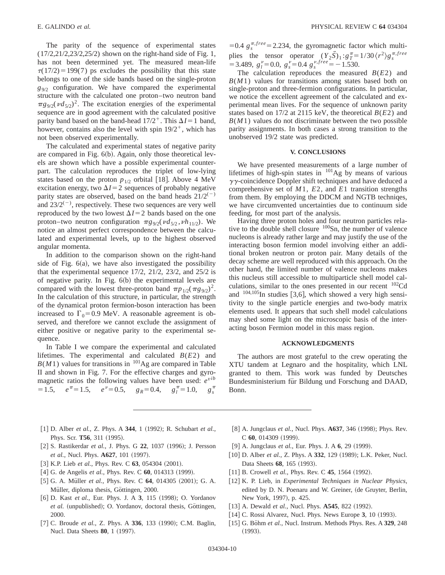The parity of the sequence of experimental states (17/2,21/2,23/2,25/2) shown on the right-hand side of Fig. 1, has not been determined yet. The measured mean-life  $\tau(17/2) = 199(7)$  ps excludes the possibility that this state belongs to one of the side bands based on the single-proton *g*9/2 configuration. We have compared the experimental structure with the calculated one proton–two neutron band  $\pi g_{9/2}(\nu d_{5/2})^2$ . The excitation energies of the experimental sequence are in good agreement with the calculated positive parity band based on the band-head  $17/2^+$ . This  $\Delta I = 1$  band, however, contains also the level with spin  $19/2^+$ , which has not been observed experimentally.

The calculated and experimental states of negative parity are compared in Fig.  $6(b)$ . Again, only those theoretical levels are shown which have a possible experimental counterpart. The calculation reproduces the triplet of low-lying states based on the proton  $p_{1/2}$  orbital [18]. Above 4 MeV excitation energy, two  $\Delta I = 2$  sequences of probably negative parity states are observed, based on the band heads  $21/2^{(-)}$ and  $23/2^{(-)}$ , respectively. These two sequences are very well reproduced by the two lowest  $\Delta I = 2$  bands based on the one proton–two neutron configuration  $\pi g_{9/2}(\nu d_{5/2}, \nu h_{11/2})$ . We notice an almost perfect correspondence between the calculated and experimental levels, up to the highest observed angular momenta.

In addition to the comparison shown on the right-hand side of Fig.  $6(a)$ , we have also investigated the possibility that the experimental sequence 17/2, 21/2, 23/2, and 25/2 is of negative parity. In Fig.  $6(b)$  the experimental levels are compared with the lowest three-proton band  $\pi p_{1/2}(\pi g_{9/2})^2$ . In the calculation of this structure, in particular, the strength of the dynamical proton fermion-boson interaction has been increased to  $\Gamma_0$ =0.9 MeV. A reasonable agreement is observed, and therefore we cannot exclude the assignment of either positive or negative parity to the experimental sequence.

In Table I we compare the experimental and calculated lifetimes. The experimental and calculated *B*(*E*2) and  $B(M1)$  values for transitions in  $101$ Ag are compared in Table II and shown in Fig. 7. For the effective charges and gyromagnetic ratios the following values have been used: *e<sup>v</sup>ib*  $= 1.5,$   $e^{\pi} = 1.5,$   $e^{\nu} = 0.5,$   $g_R = 0.4,$   $g_l^{\pi} = 1.0,$   $g_s^{\pi}$  $g_s^{\pi}$  =0.4  $g_s^{\pi, free}$  = 2.234, the gyromagnetic factor which multiplies the tensor operator  $(Y_2 \vec{S})_1 : g_T^{\pi} = 1/30 \langle r^2 \rangle g_s^{\pi,free}$  $=$  3.489,  $g_l^{\nu} = 0.0$ ,  $g_s^{\nu} = 0.4$   $g_s^{\nu,free} = -1.530$ .

The calculation reproduces the measured *B*(*E*2) and *B*(*M*1) values for transitions among states based both on single-proton and three-fermion configurations. In particular, we notice the excellent agreement of the calculated and experimental mean lives. For the sequence of unknown parity states based on 17/2 at 2115 keV, the theoretical *B*(*E*2) and  $B(M1)$  values do not discriminate between the two possible parity assignments. In both cases a strong transition to the unobserved 19/2 state was predicted.

## **V. CONCLUSIONS**

We have presented measurements of a large number of lifetimes of high-spin states in  $^{101}$ Ag by means of various  $\gamma\gamma$ -coincidence Doppler shift techniques and have deduced a comprehensive set of *M*1, *E*2, and *E*1 transition strengths from them. By employing the DDCM and NGTB techniqes, we have circumvented uncertainties due to continuum side feeding, for most part of the analysis.

Having three proton holes and four neutron particles relative to the double shell closure <sup>100</sup>Sn, the number of valence nucleons is already rather large and may justify the use of the interacting boson fermion model involving either an additional broken neutron or proton pair. Many details of the decay scheme are well reproduced with this approach. On the other hand, the limited number of valence nucleons makes this nucleus still accessible to multiparticle shell model calculations, similar to the ones presented in our recent  $102<sup>2</sup>$ Cd and  $104,105$ In studies [3,6], which showed a very high sensitivity to the single particle energies and two-body matrix elements used. It appears that such shell model calculations may shed some light on the microscopic basis of the interacting boson Fermion model in this mass region.

#### **ACKNOWLEDGMENTS**

The authors are most grateful to the crew operating the XTU tandem at Legnaro and the hospitality, which LNL granted to them. This work was funded by Deutsches Bundesministerium für Bildung und Forschung and DAAD, Bonn.

- [1] D. Alber *et al.*, Z. Phys. A **344**, 1 (1992); R. Schubart *et al.*, Phys. Scr. **T56**, 311 (1995).
- [2] S. Rastikerdar *et al.*, J. Phys. G 22, 1037 (1996); J. Persson *et al.*, Nucl. Phys. **A627**, 101 (1997).
- [3] K.P. Lieb *et al.*, Phys. Rev. C 63, 054304 (2001).
- [4] G. de Angelis *et al.*, Phys. Rev. C 60, 014313 (1999).
- [5] G. A. Müller *et al.*, Phys. Rev. C **64**, 014305 (2001); G. A. Müller, diploma thesis, Göttingen, 2000.
- [6] D. Kast *et al.*, Eur. Phys. J. A 3, 115 (1998); O. Yordanov et al. (unpublished); O. Yordanov, doctoral thesis, Göttingen, 2000.
- [7] C. Broude *et al.*, Z. Phys. A 336, 133 (1990); C.M. Baglin, Nucl. Data Sheets **80**, 1 (1997).
- [8] A. Jungclaus *et al.*, Nucl. Phys. **A637**, 346 (1998); Phys. Rev. C 60, 014309 (1999).
- [9] A. Jungclaus *et al.*, Eur. Phys. J. A **6**, 29 (1999).
- [10] D. Alber *et al.*, Z. Phys. A 332, 129 (1989); L.K. Peker, Nucl. Data Sheets 68, 165 (1993).
- [11] B. Crowell *et al.*, Phys. Rev. C 45, 1564 (1992).
- [12] K. P. Lieb, in *Experimental Techniques in Nuclear Physics*, edited by D. N. Poenaru and W. Greiner, (de Gruyter, Berlin, New York, 1997), p. 425.
- [13] A. Dewald *et al.*, Nucl. Phys. **A545**, 822 (1992).
- [14] C. Rossi Alvarez, Nucl. Phys. News Europe 3, 10 (1993).
- [15] G. Böhm et al., Nucl. Instrum. Methods Phys. Res. A 329, 248  $(1993).$